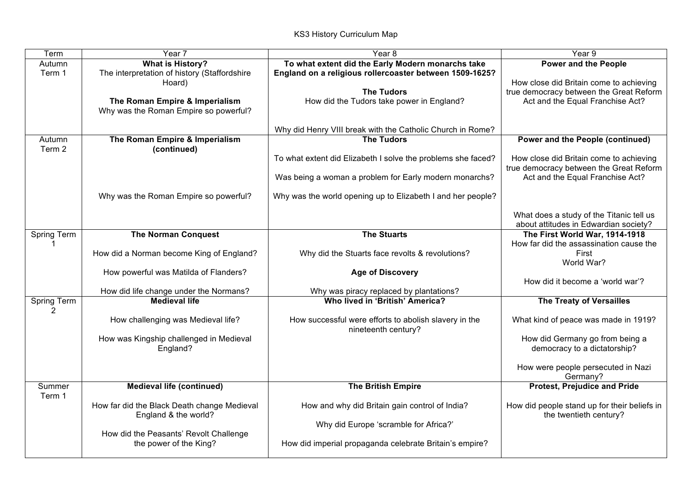| Term             | Year 7                                                                                                              | Year <sub>8</sub>                                                                                                                                                              | Year 9                                                                                                                                                |
|------------------|---------------------------------------------------------------------------------------------------------------------|--------------------------------------------------------------------------------------------------------------------------------------------------------------------------------|-------------------------------------------------------------------------------------------------------------------------------------------------------|
| Autumn<br>Term 1 | <b>What is History?</b><br>The interpretation of history (Staffordshire<br>Hoard)<br>The Roman Empire & Imperialism | To what extent did the Early Modern monarchs take<br>England on a religious rollercoaster between 1509-1625?<br><b>The Tudors</b><br>How did the Tudors take power in England? | <b>Power and the People</b><br>How close did Britain come to achieving<br>true democracy between the Great Reform<br>Act and the Equal Franchise Act? |
|                  | Why was the Roman Empire so powerful?                                                                               | Why did Henry VIII break with the Catholic Church in Rome?                                                                                                                     |                                                                                                                                                       |
| Autumn<br>Term 2 | The Roman Empire & Imperialism<br>(continued)                                                                       | <b>The Tudors</b><br>To what extent did Elizabeth I solve the problems she faced?                                                                                              | Power and the People (continued)<br>How close did Britain come to achieving                                                                           |
|                  |                                                                                                                     | Was being a woman a problem for Early modern monarchs?                                                                                                                         | true democracy between the Great Reform<br>Act and the Equal Franchise Act?                                                                           |
|                  | Why was the Roman Empire so powerful?                                                                               | Why was the world opening up to Elizabeth I and her people?                                                                                                                    |                                                                                                                                                       |
|                  |                                                                                                                     |                                                                                                                                                                                | What does a study of the Titanic tell us<br>about attitudes in Edwardian society?                                                                     |
| Spring Term      | <b>The Norman Conquest</b>                                                                                          | <b>The Stuarts</b>                                                                                                                                                             | The First World War, 1914-1918<br>How far did the assassination cause the                                                                             |
|                  | How did a Norman become King of England?                                                                            | Why did the Stuarts face revolts & revolutions?                                                                                                                                | First<br>World War?                                                                                                                                   |
|                  | How powerful was Matilda of Flanders?                                                                               | <b>Age of Discovery</b>                                                                                                                                                        | How did it become a 'world war'?                                                                                                                      |
|                  | How did life change under the Normans?                                                                              | Why was piracy replaced by plantations?                                                                                                                                        |                                                                                                                                                       |
| Spring Term<br>2 | <b>Medieval life</b>                                                                                                | Who lived in 'British' America?                                                                                                                                                | <b>The Treaty of Versailles</b>                                                                                                                       |
|                  | How challenging was Medieval life?                                                                                  | How successful were efforts to abolish slavery in the<br>nineteenth century?                                                                                                   | What kind of peace was made in 1919?                                                                                                                  |
|                  | How was Kingship challenged in Medieval<br>England?                                                                 |                                                                                                                                                                                | How did Germany go from being a<br>democracy to a dictatorship?                                                                                       |
|                  |                                                                                                                     |                                                                                                                                                                                | How were people persecuted in Nazi<br>Germany?                                                                                                        |
| Summer<br>Term 1 | <b>Medieval life (continued)</b>                                                                                    | <b>The British Empire</b>                                                                                                                                                      | <b>Protest, Prejudice and Pride</b>                                                                                                                   |
|                  | How far did the Black Death change Medieval<br>England & the world?                                                 | How and why did Britain gain control of India?<br>Why did Europe 'scramble for Africa?'                                                                                        | How did people stand up for their beliefs in<br>the twentieth century?                                                                                |
|                  | How did the Peasants' Revolt Challenge<br>the power of the King?                                                    | How did imperial propaganda celebrate Britain's empire?                                                                                                                        |                                                                                                                                                       |